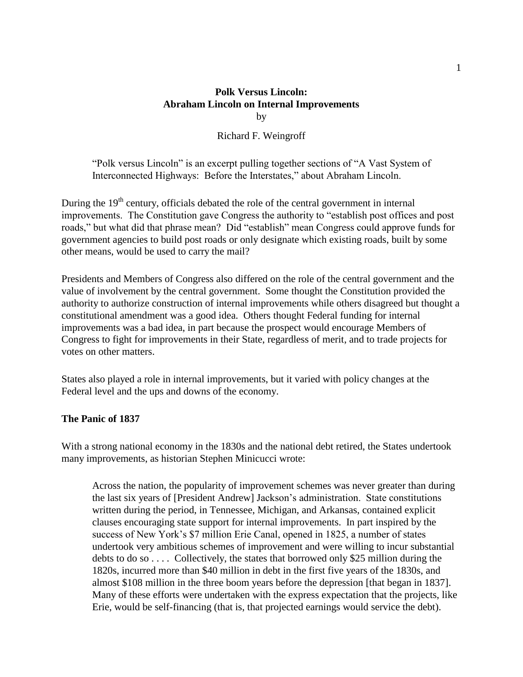# **Polk Versus Lincoln: Abraham Lincoln on Internal Improvements**  by

### Richard F. Weingroff

"Polk versus Lincoln" is an excerpt pulling together sections of "A Vast System of Interconnected Highways: Before the Interstates," about Abraham Lincoln.

During the  $19<sup>th</sup>$  century, officials debated the role of the central government in internal improvements. The Constitution gave Congress the authority to "establish post offices and post roads," but what did that phrase mean? Did "establish" mean Congress could approve funds for government agencies to build post roads or only designate which existing roads, built by some other means, would be used to carry the mail?

Presidents and Members of Congress also differed on the role of the central government and the value of involvement by the central government. Some thought the Constitution provided the authority to authorize construction of internal improvements while others disagreed but thought a constitutional amendment was a good idea. Others thought Federal funding for internal improvements was a bad idea, in part because the prospect would encourage Members of Congress to fight for improvements in their State, regardless of merit, and to trade projects for votes on other matters.

States also played a role in internal improvements, but it varied with policy changes at the Federal level and the ups and downs of the economy.

## **The Panic of 1837**

With a strong national economy in the 1830s and the national debt retired, the States undertook many improvements, as historian Stephen Minicucci wrote:

Across the nation, the popularity of improvement schemes was never greater than during the last six years of [President Andrew] Jackson's administration. State constitutions written during the period, in Tennessee, Michigan, and Arkansas, contained explicit clauses encouraging state support for internal improvements. In part inspired by the success of New York's \$7 million Erie Canal, opened in 1825, a number of states undertook very ambitious schemes of improvement and were willing to incur substantial debts to do so . . . . Collectively, the states that borrowed only \$25 million during the 1820s, incurred more than \$40 million in debt in the first five years of the 1830s, and almost \$108 million in the three boom years before the depression [that began in 1837]. Many of these efforts were undertaken with the express expectation that the projects, like Erie, would be self-financing (that is, that projected earnings would service the debt).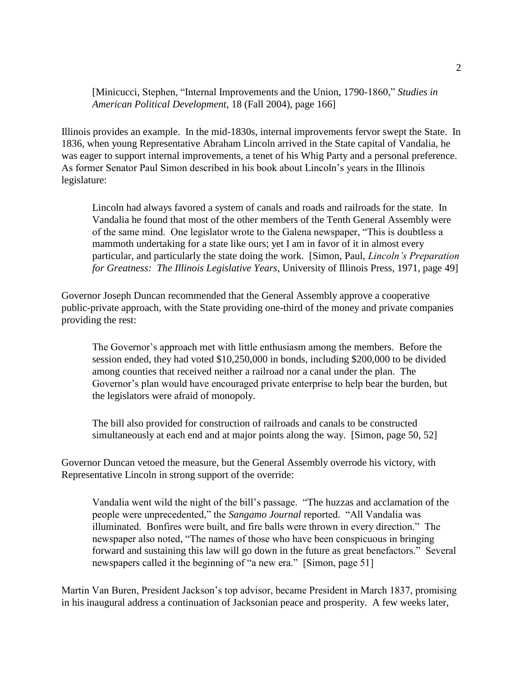[Minicucci, Stephen, "Internal Improvements and the Union, 1790-1860," *Studies in American Political Development*, 18 (Fall 2004), page 166]

Illinois provides an example. In the mid-1830s, internal improvements fervor swept the State. In 1836, when young Representative Abraham Lincoln arrived in the State capital of Vandalia, he was eager to support internal improvements, a tenet of his Whig Party and a personal preference. As former Senator Paul Simon described in his book about Lincoln's years in the Illinois legislature:

Lincoln had always favored a system of canals and roads and railroads for the state. In Vandalia he found that most of the other members of the Tenth General Assembly were of the same mind. One legislator wrote to the Galena newspaper, "This is doubtless a mammoth undertaking for a state like ours; yet I am in favor of it in almost every particular, and particularly the state doing the work. [Simon, Paul, *Lincoln's Preparation for Greatness: The Illinois Legislative Years*, University of Illinois Press, 1971, page 49]

Governor Joseph Duncan recommended that the General Assembly approve a cooperative public-private approach, with the State providing one-third of the money and private companies providing the rest:

The Governor's approach met with little enthusiasm among the members. Before the session ended, they had voted \$10,250,000 in bonds, including \$200,000 to be divided among counties that received neither a railroad nor a canal under the plan. The Governor's plan would have encouraged private enterprise to help bear the burden, but the legislators were afraid of monopoly.

The bill also provided for construction of railroads and canals to be constructed simultaneously at each end and at major points along the way. [Simon, page 50, 52]

Governor Duncan vetoed the measure, but the General Assembly overrode his victory, with Representative Lincoln in strong support of the override:

Vandalia went wild the night of the bill's passage. "The huzzas and acclamation of the people were unprecedented," the *Sangamo Journal* reported. "All Vandalia was illuminated. Bonfires were built, and fire balls were thrown in every direction." The newspaper also noted, "The names of those who have been conspicuous in bringing forward and sustaining this law will go down in the future as great benefactors." Several newspapers called it the beginning of "a new era." [Simon, page 51]

Martin Van Buren, President Jackson's top advisor, became President in March 1837, promising in his inaugural address a continuation of Jacksonian peace and prosperity. A few weeks later,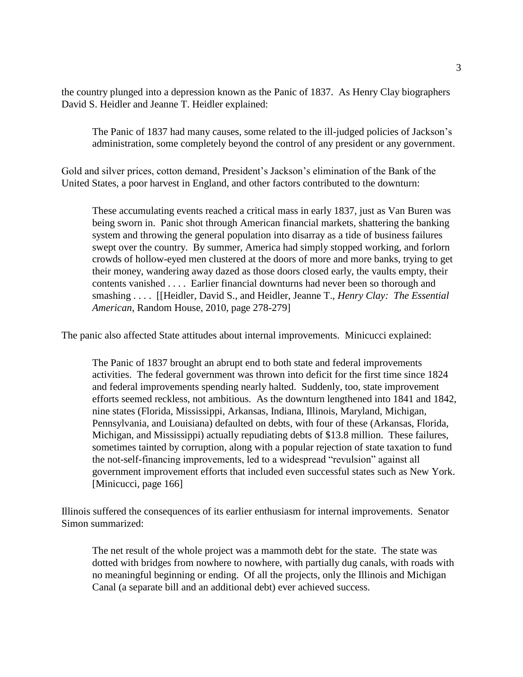the country plunged into a depression known as the Panic of 1837. As Henry Clay biographers David S. Heidler and Jeanne T. Heidler explained:

The Panic of 1837 had many causes, some related to the ill-judged policies of Jackson's administration, some completely beyond the control of any president or any government.

Gold and silver prices, cotton demand, President's Jackson's elimination of the Bank of the United States, a poor harvest in England, and other factors contributed to the downturn:

These accumulating events reached a critical mass in early 1837, just as Van Buren was being sworn in. Panic shot through American financial markets, shattering the banking system and throwing the general population into disarray as a tide of business failures swept over the country. By summer, America had simply stopped working, and forlorn crowds of hollow-eyed men clustered at the doors of more and more banks, trying to get their money, wandering away dazed as those doors closed early, the vaults empty, their contents vanished . . . . Earlier financial downturns had never been so thorough and smashing . . . . [[Heidler, David S., and Heidler, Jeanne T., *Henry Clay: The Essential American*, Random House, 2010, page 278-279]

The panic also affected State attitudes about internal improvements. Minicucci explained:

The Panic of 1837 brought an abrupt end to both state and federal improvements activities. The federal government was thrown into deficit for the first time since 1824 and federal improvements spending nearly halted. Suddenly, too, state improvement efforts seemed reckless, not ambitious. As the downturn lengthened into 1841 and 1842, nine states (Florida, Mississippi, Arkansas, Indiana, Illinois, Maryland, Michigan, Pennsylvania, and Louisiana) defaulted on debts, with four of these (Arkansas, Florida, Michigan, and Mississippi) actually repudiating debts of \$13.8 million. These failures, sometimes tainted by corruption, along with a popular rejection of state taxation to fund the not-self-financing improvements, led to a widespread "revulsion" against all government improvement efforts that included even successful states such as New York. [Minicucci, page 166]

Illinois suffered the consequences of its earlier enthusiasm for internal improvements. Senator Simon summarized:

The net result of the whole project was a mammoth debt for the state. The state was dotted with bridges from nowhere to nowhere, with partially dug canals, with roads with no meaningful beginning or ending. Of all the projects, only the Illinois and Michigan Canal (a separate bill and an additional debt) ever achieved success.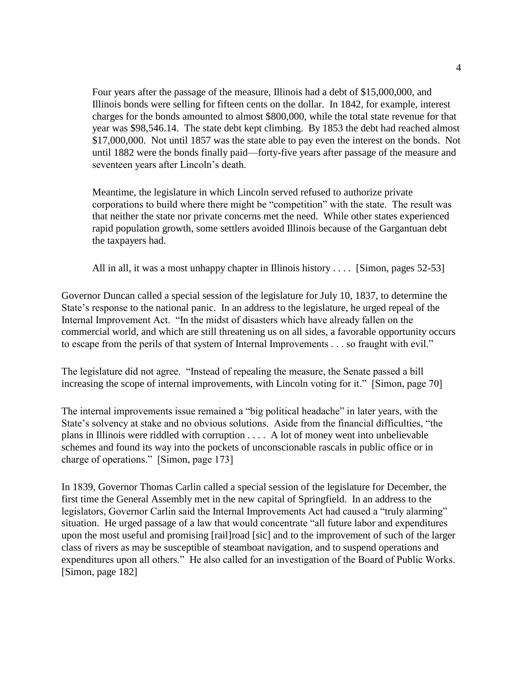Four years after the passage of the measure, Illinois had a debt of \$15,000,000, and Illinois bonds were selling for fifteen cents on the dollar. In 1842, for example, interest charges for the bonds amounted to almost \$800,000, while the total state revenue for that year was \$98,546.14. The state debt kept climbing. By 1853 the debt had reached almost \$17,000,000. Not until 1857 was the state able to pay even the interest on the bonds. Not until 1882 were the bonds finally paid—forty-five years after passage of the measure and seventeen years after Lincoln's death.

Meantime, the legislature in which Lincoln served refused to authorize private corporations to build where there might be "competition" with the state. The result was that neither the state nor private concerns met the need. While other states experienced rapid population growth, some settlers avoided Illinois because of the Gargantuan debt the taxpayers had.

All in all, it was a most unhappy chapter in Illinois history . . . . [Simon, pages 52-53]

Governor Duncan called a special session of the legislature for July 10, 1837, to determine the State's response to the national panic. In an address to the legislature, he urged repeal of the Internal Improvement Act. "In the midst of disasters which have already fallen on the commercial world, and which are still threatening us on all sides, a favorable opportunity occurs to escape from the perils of that system of Internal Improvements . . . so fraught with evil."

The legislature did not agree. "Instead of repealing the measure, the Senate passed a bill increasing the scope of internal improvements, with Lincoln voting for it." [Simon, page 70]

The internal improvements issue remained a "big political headache" in later years, with the State's solvency at stake and no obvious solutions. Aside from the financial difficulties, "the plans in Illinois were riddled with corruption . . . . A lot of money went into unbelievable schemes and found its way into the pockets of unconscionable rascals in public office or in charge of operations." [Simon, page 173]

In 1839, Governor Thomas Carlin called a special session of the legislature for December, the first time the General Assembly met in the new capital of Springfield. In an address to the legislators, Governor Carlin said the Internal Improvements Act had caused a "truly alarming" situation. He urged passage of a law that would concentrate "all future labor and expenditures upon the most useful and promising [rail]road [sic] and to the improvement of such of the larger class of rivers as may be susceptible of steamboat navigation, and to suspend operations and expenditures upon all others." He also called for an investigation of the Board of Public Works. [Simon, page 182]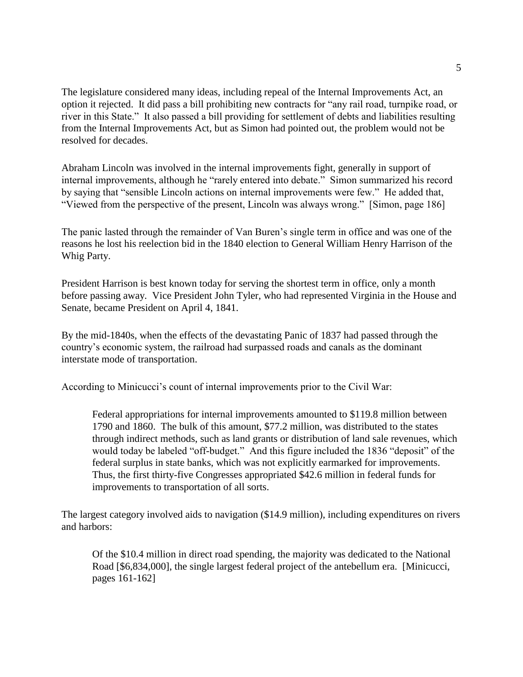The legislature considered many ideas, including repeal of the Internal Improvements Act, an option it rejected. It did pass a bill prohibiting new contracts for "any rail road, turnpike road, or river in this State." It also passed a bill providing for settlement of debts and liabilities resulting from the Internal Improvements Act, but as Simon had pointed out, the problem would not be resolved for decades.

Abraham Lincoln was involved in the internal improvements fight, generally in support of internal improvements, although he "rarely entered into debate." Simon summarized his record by saying that "sensible Lincoln actions on internal improvements were few." He added that, "Viewed from the perspective of the present, Lincoln was always wrong." [Simon, page 186]

The panic lasted through the remainder of Van Buren's single term in office and was one of the reasons he lost his reelection bid in the 1840 election to General William Henry Harrison of the Whig Party.

President Harrison is best known today for serving the shortest term in office, only a month before passing away. Vice President John Tyler, who had represented Virginia in the House and Senate, became President on April 4, 1841.

By the mid-1840s, when the effects of the devastating Panic of 1837 had passed through the country's economic system, the railroad had surpassed roads and canals as the dominant interstate mode of transportation.

According to Minicucci's count of internal improvements prior to the Civil War:

Federal appropriations for internal improvements amounted to \$119.8 million between 1790 and 1860. The bulk of this amount, \$77.2 million, was distributed to the states through indirect methods, such as land grants or distribution of land sale revenues, which would today be labeled "off-budget." And this figure included the 1836 "deposit" of the federal surplus in state banks, which was not explicitly earmarked for improvements. Thus, the first thirty-five Congresses appropriated \$42.6 million in federal funds for improvements to transportation of all sorts.

The largest category involved aids to navigation (\$14.9 million), including expenditures on rivers and harbors:

Of the \$10.4 million in direct road spending, the majority was dedicated to the National Road [\$6,834,000], the single largest federal project of the antebellum era. [Minicucci, pages 161-162]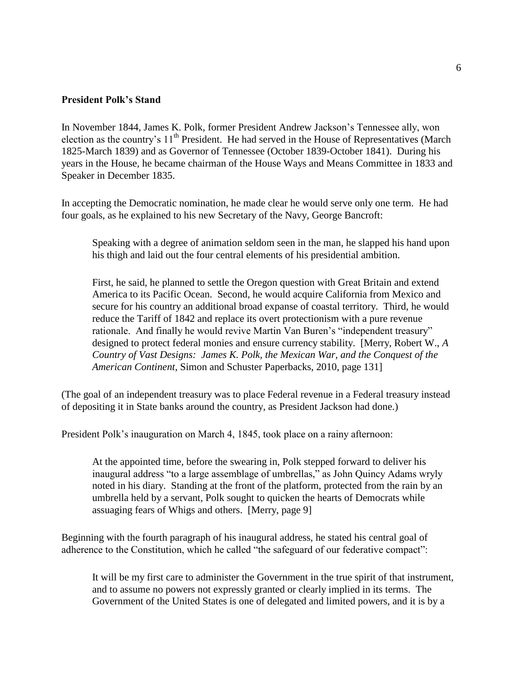#### **President Polk's Stand**

In November 1844, James K. Polk, former President Andrew Jackson's Tennessee ally, won election as the country's  $11<sup>th</sup>$  President. He had served in the House of Representatives (March 1825-March 1839) and as Governor of Tennessee (October 1839-October 1841). During his years in the House, he became chairman of the House Ways and Means Committee in 1833 and Speaker in December 1835.

In accepting the Democratic nomination, he made clear he would serve only one term. He had four goals, as he explained to his new Secretary of the Navy, George Bancroft:

Speaking with a degree of animation seldom seen in the man, he slapped his hand upon his thigh and laid out the four central elements of his presidential ambition.

First, he said, he planned to settle the Oregon question with Great Britain and extend America to its Pacific Ocean. Second, he would acquire California from Mexico and secure for his country an additional broad expanse of coastal territory. Third, he would reduce the Tariff of 1842 and replace its overt protectionism with a pure revenue rationale. And finally he would revive Martin Van Buren's "independent treasury" designed to protect federal monies and ensure currency stability. [Merry, Robert W., *A Country of Vast Designs: James K. Polk, the Mexican War, and the Conquest of the American Continent*, Simon and Schuster Paperbacks, 2010, page 131]

(The goal of an independent treasury was to place Federal revenue in a Federal treasury instead of depositing it in State banks around the country, as President Jackson had done.)

President Polk's inauguration on March 4, 1845, took place on a rainy afternoon:

At the appointed time, before the swearing in, Polk stepped forward to deliver his inaugural address "to a large assemblage of umbrellas," as John Quincy Adams wryly noted in his diary. Standing at the front of the platform, protected from the rain by an umbrella held by a servant, Polk sought to quicken the hearts of Democrats while assuaging fears of Whigs and others. [Merry, page 9]

Beginning with the fourth paragraph of his inaugural address, he stated his central goal of adherence to the Constitution, which he called "the safeguard of our federative compact":

It will be my first care to administer the Government in the true spirit of that instrument, and to assume no powers not expressly granted or clearly implied in its terms. The Government of the United States is one of delegated and limited powers, and it is by a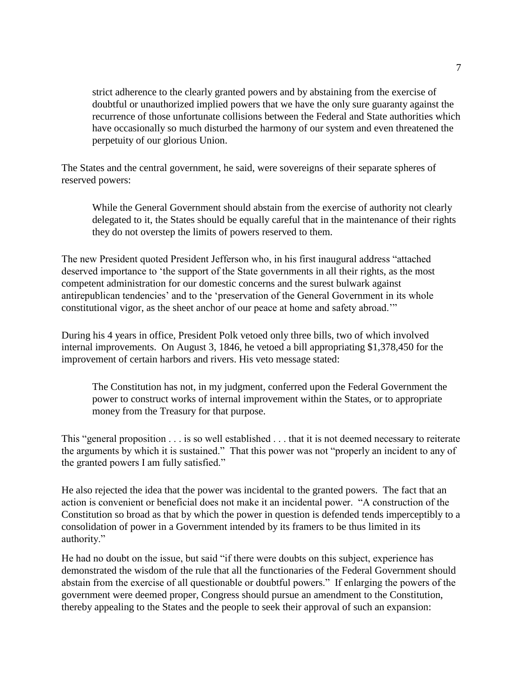strict adherence to the clearly granted powers and by abstaining from the exercise of doubtful or unauthorized implied powers that we have the only sure guaranty against the recurrence of those unfortunate collisions between the Federal and State authorities which have occasionally so much disturbed the harmony of our system and even threatened the perpetuity of our glorious Union.

The States and the central government, he said, were sovereigns of their separate spheres of reserved powers:

While the General Government should abstain from the exercise of authority not clearly delegated to it, the States should be equally careful that in the maintenance of their rights they do not overstep the limits of powers reserved to them.

The new President quoted President Jefferson who, in his first inaugural address "attached deserved importance to 'the support of the State governments in all their rights, as the most competent administration for our domestic concerns and the surest bulwark against antirepublican tendencies' and to the 'preservation of the General Government in its whole constitutional vigor, as the sheet anchor of our peace at home and safety abroad.'"

During his 4 years in office, President Polk vetoed only three bills, two of which involved internal improvements. On August 3, 1846, he vetoed a bill appropriating \$1,378,450 for the improvement of certain harbors and rivers. His veto message stated:

The Constitution has not, in my judgment, conferred upon the Federal Government the power to construct works of internal improvement within the States, or to appropriate money from the Treasury for that purpose.

This "general proposition . . . is so well established . . . that it is not deemed necessary to reiterate the arguments by which it is sustained." That this power was not "properly an incident to any of the granted powers I am fully satisfied."

He also rejected the idea that the power was incidental to the granted powers. The fact that an action is convenient or beneficial does not make it an incidental power. "A construction of the Constitution so broad as that by which the power in question is defended tends imperceptibly to a consolidation of power in a Government intended by its framers to be thus limited in its authority."

He had no doubt on the issue, but said "if there were doubts on this subject, experience has demonstrated the wisdom of the rule that all the functionaries of the Federal Government should abstain from the exercise of all questionable or doubtful powers." If enlarging the powers of the government were deemed proper, Congress should pursue an amendment to the Constitution, thereby appealing to the States and the people to seek their approval of such an expansion: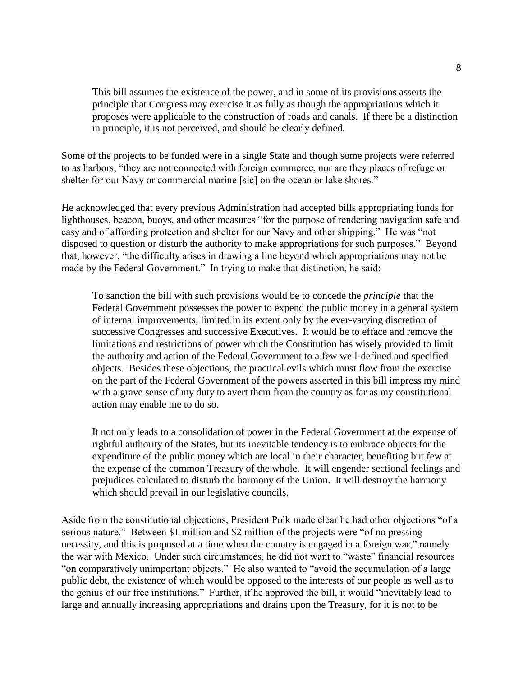This bill assumes the existence of the power, and in some of its provisions asserts the principle that Congress may exercise it as fully as though the appropriations which it proposes were applicable to the construction of roads and canals. If there be a distinction in principle, it is not perceived, and should be clearly defined.

Some of the projects to be funded were in a single State and though some projects were referred to as harbors, "they are not connected with foreign commerce, nor are they places of refuge or shelter for our Navy or commercial marine [sic] on the ocean or lake shores."

He acknowledged that every previous Administration had accepted bills appropriating funds for lighthouses, beacon, buoys, and other measures "for the purpose of rendering navigation safe and easy and of affording protection and shelter for our Navy and other shipping." He was "not disposed to question or disturb the authority to make appropriations for such purposes." Beyond that, however, "the difficulty arises in drawing a line beyond which appropriations may not be made by the Federal Government." In trying to make that distinction, he said:

To sanction the bill with such provisions would be to concede the *principle* that the Federal Government possesses the power to expend the public money in a general system of internal improvements, limited in its extent only by the ever-varying discretion of successive Congresses and successive Executives. It would be to efface and remove the limitations and restrictions of power which the Constitution has wisely provided to limit the authority and action of the Federal Government to a few well-defined and specified objects. Besides these objections, the practical evils which must flow from the exercise on the part of the Federal Government of the powers asserted in this bill impress my mind with a grave sense of my duty to avert them from the country as far as my constitutional action may enable me to do so.

It not only leads to a consolidation of power in the Federal Government at the expense of rightful authority of the States, but its inevitable tendency is to embrace objects for the expenditure of the public money which are local in their character, benefiting but few at the expense of the common Treasury of the whole. It will engender sectional feelings and prejudices calculated to disturb the harmony of the Union. It will destroy the harmony which should prevail in our legislative councils.

Aside from the constitutional objections, President Polk made clear he had other objections "of a serious nature." Between \$1 million and \$2 million of the projects were "of no pressing necessity, and this is proposed at a time when the country is engaged in a foreign war," namely the war with Mexico. Under such circumstances, he did not want to "waste" financial resources "on comparatively unimportant objects." He also wanted to "avoid the accumulation of a large public debt, the existence of which would be opposed to the interests of our people as well as to the genius of our free institutions." Further, if he approved the bill, it would "inevitably lead to large and annually increasing appropriations and drains upon the Treasury, for it is not to be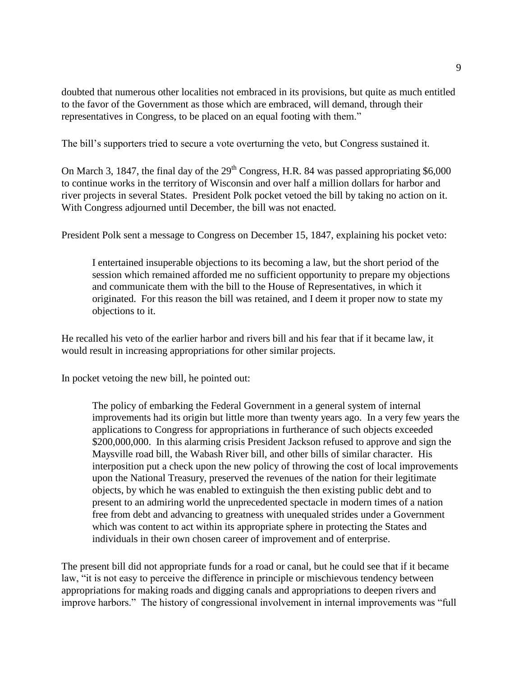doubted that numerous other localities not embraced in its provisions, but quite as much entitled to the favor of the Government as those which are embraced, will demand, through their representatives in Congress, to be placed on an equal footing with them."

The bill's supporters tried to secure a vote overturning the veto, but Congress sustained it.

On March 3, 1847, the final day of the  $29<sup>th</sup>$  Congress, H.R. 84 was passed appropriating \$6,000 to continue works in the territory of Wisconsin and over half a million dollars for harbor and river projects in several States. President Polk pocket vetoed the bill by taking no action on it. With Congress adjourned until December, the bill was not enacted.

President Polk sent a message to Congress on December 15, 1847, explaining his pocket veto:

I entertained insuperable objections to its becoming a law, but the short period of the session which remained afforded me no sufficient opportunity to prepare my objections and communicate them with the bill to the House of Representatives, in which it originated. For this reason the bill was retained, and I deem it proper now to state my objections to it.

He recalled his veto of the earlier harbor and rivers bill and his fear that if it became law, it would result in increasing appropriations for other similar projects.

In pocket vetoing the new bill, he pointed out:

The policy of embarking the Federal Government in a general system of internal improvements had its origin but little more than twenty years ago. In a very few years the applications to Congress for appropriations in furtherance of such objects exceeded \$200,000,000. In this alarming crisis President Jackson refused to approve and sign the Maysville road bill, the Wabash River bill, and other bills of similar character. His interposition put a check upon the new policy of throwing the cost of local improvements upon the National Treasury, preserved the revenues of the nation for their legitimate objects, by which he was enabled to extinguish the then existing public debt and to present to an admiring world the unprecedented spectacle in modern times of a nation free from debt and advancing to greatness with unequaled strides under a Government which was content to act within its appropriate sphere in protecting the States and individuals in their own chosen career of improvement and of enterprise.

The present bill did not appropriate funds for a road or canal, but he could see that if it became law, "it is not easy to perceive the difference in principle or mischievous tendency between appropriations for making roads and digging canals and appropriations to deepen rivers and improve harbors." The history of congressional involvement in internal improvements was "full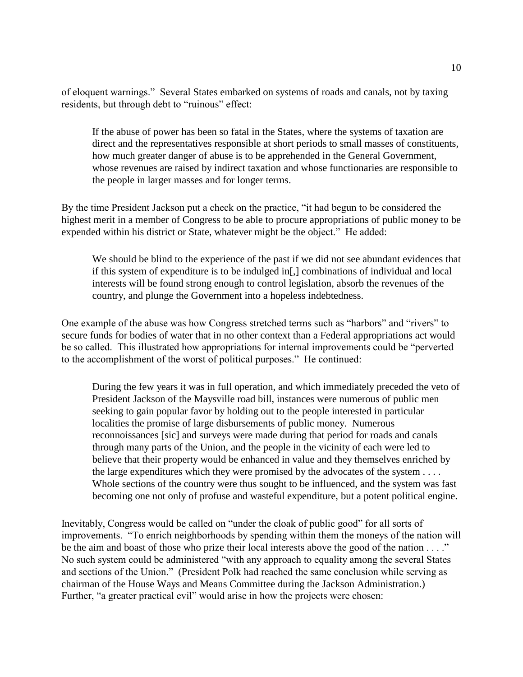of eloquent warnings." Several States embarked on systems of roads and canals, not by taxing residents, but through debt to "ruinous" effect:

If the abuse of power has been so fatal in the States, where the systems of taxation are direct and the representatives responsible at short periods to small masses of constituents, how much greater danger of abuse is to be apprehended in the General Government, whose revenues are raised by indirect taxation and whose functionaries are responsible to the people in larger masses and for longer terms.

By the time President Jackson put a check on the practice, "it had begun to be considered the highest merit in a member of Congress to be able to procure appropriations of public money to be expended within his district or State, whatever might be the object." He added:

We should be blind to the experience of the past if we did not see abundant evidences that if this system of expenditure is to be indulged in[,] combinations of individual and local interests will be found strong enough to control legislation, absorb the revenues of the country, and plunge the Government into a hopeless indebtedness.

One example of the abuse was how Congress stretched terms such as "harbors" and "rivers" to secure funds for bodies of water that in no other context than a Federal appropriations act would be so called. This illustrated how appropriations for internal improvements could be "perverted to the accomplishment of the worst of political purposes." He continued:

During the few years it was in full operation, and which immediately preceded the veto of President Jackson of the Maysville road bill, instances were numerous of public men seeking to gain popular favor by holding out to the people interested in particular localities the promise of large disbursements of public money. Numerous reconnoissances [sic] and surveys were made during that period for roads and canals through many parts of the Union, and the people in the vicinity of each were led to believe that their property would be enhanced in value and they themselves enriched by the large expenditures which they were promised by the advocates of the system . . . . Whole sections of the country were thus sought to be influenced, and the system was fast becoming one not only of profuse and wasteful expenditure, but a potent political engine.

Inevitably, Congress would be called on "under the cloak of public good" for all sorts of improvements. "To enrich neighborhoods by spending within them the moneys of the nation will be the aim and boast of those who prize their local interests above the good of the nation . . . ." No such system could be administered "with any approach to equality among the several States and sections of the Union." (President Polk had reached the same conclusion while serving as chairman of the House Ways and Means Committee during the Jackson Administration.) Further, "a greater practical evil" would arise in how the projects were chosen: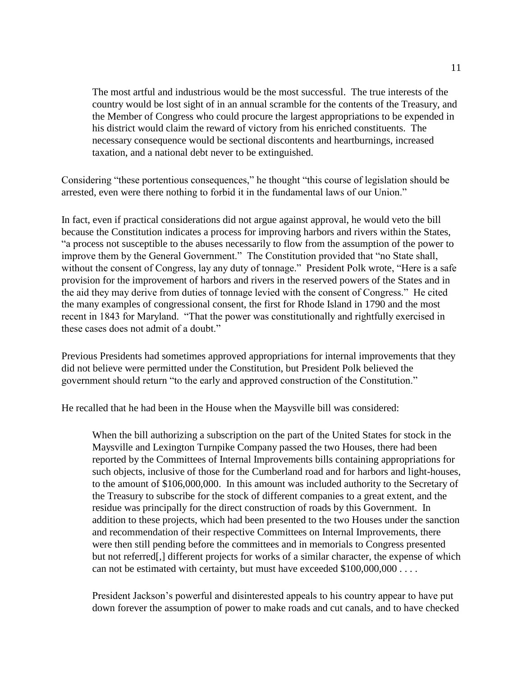The most artful and industrious would be the most successful. The true interests of the country would be lost sight of in an annual scramble for the contents of the Treasury, and the Member of Congress who could procure the largest appropriations to be expended in his district would claim the reward of victory from his enriched constituents. The necessary consequence would be sectional discontents and heartburnings, increased taxation, and a national debt never to be extinguished.

Considering "these portentious consequences," he thought "this course of legislation should be arrested, even were there nothing to forbid it in the fundamental laws of our Union."

In fact, even if practical considerations did not argue against approval, he would veto the bill because the Constitution indicates a process for improving harbors and rivers within the States, "a process not susceptible to the abuses necessarily to flow from the assumption of the power to improve them by the General Government." The Constitution provided that "no State shall, without the consent of Congress, lay any duty of tonnage." President Polk wrote, "Here is a safe provision for the improvement of harbors and rivers in the reserved powers of the States and in the aid they may derive from duties of tonnage levied with the consent of Congress." He cited the many examples of congressional consent, the first for Rhode Island in 1790 and the most recent in 1843 for Maryland. "That the power was constitutionally and rightfully exercised in these cases does not admit of a doubt."

Previous Presidents had sometimes approved appropriations for internal improvements that they did not believe were permitted under the Constitution, but President Polk believed the government should return "to the early and approved construction of the Constitution."

He recalled that he had been in the House when the Maysville bill was considered:

When the bill authorizing a subscription on the part of the United States for stock in the Maysville and Lexington Turnpike Company passed the two Houses, there had been reported by the Committees of Internal Improvements bills containing appropriations for such objects, inclusive of those for the Cumberland road and for harbors and light-houses, to the amount of \$106,000,000. In this amount was included authority to the Secretary of the Treasury to subscribe for the stock of different companies to a great extent, and the residue was principally for the direct construction of roads by this Government. In addition to these projects, which had been presented to the two Houses under the sanction and recommendation of their respective Committees on Internal Improvements, there were then still pending before the committees and in memorials to Congress presented but not referred[,] different projects for works of a similar character, the expense of which can not be estimated with certainty, but must have exceeded \$100,000,000 . . . .

President Jackson's powerful and disinterested appeals to his country appear to have put down forever the assumption of power to make roads and cut canals, and to have checked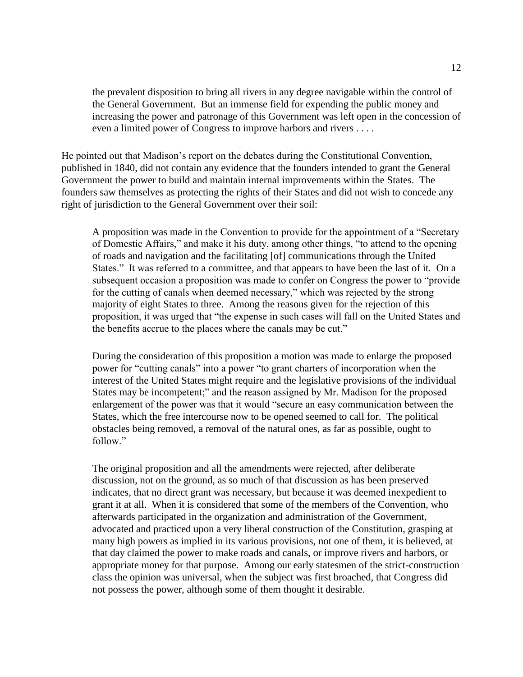the prevalent disposition to bring all rivers in any degree navigable within the control of the General Government. But an immense field for expending the public money and increasing the power and patronage of this Government was left open in the concession of even a limited power of Congress to improve harbors and rivers . . . .

He pointed out that Madison's report on the debates during the Constitutional Convention, published in 1840, did not contain any evidence that the founders intended to grant the General Government the power to build and maintain internal improvements within the States. The founders saw themselves as protecting the rights of their States and did not wish to concede any right of jurisdiction to the General Government over their soil:

A proposition was made in the Convention to provide for the appointment of a "Secretary of Domestic Affairs," and make it his duty, among other things, "to attend to the opening of roads and navigation and the facilitating [of] communications through the United States." It was referred to a committee, and that appears to have been the last of it. On a subsequent occasion a proposition was made to confer on Congress the power to "provide for the cutting of canals when deemed necessary," which was rejected by the strong majority of eight States to three. Among the reasons given for the rejection of this proposition, it was urged that "the expense in such cases will fall on the United States and the benefits accrue to the places where the canals may be cut."

During the consideration of this proposition a motion was made to enlarge the proposed power for "cutting canals" into a power "to grant charters of incorporation when the interest of the United States might require and the legislative provisions of the individual States may be incompetent;" and the reason assigned by Mr. Madison for the proposed enlargement of the power was that it would "secure an easy communication between the States, which the free intercourse now to be opened seemed to call for. The political obstacles being removed, a removal of the natural ones, as far as possible, ought to follow"

The original proposition and all the amendments were rejected, after deliberate discussion, not on the ground, as so much of that discussion as has been preserved indicates, that no direct grant was necessary, but because it was deemed inexpedient to grant it at all. When it is considered that some of the members of the Convention, who afterwards participated in the organization and administration of the Government, advocated and practiced upon a very liberal construction of the Constitution, grasping at many high powers as implied in its various provisions, not one of them, it is believed, at that day claimed the power to make roads and canals, or improve rivers and harbors, or appropriate money for that purpose. Among our early statesmen of the strict-construction class the opinion was universal, when the subject was first broached, that Congress did not possess the power, although some of them thought it desirable.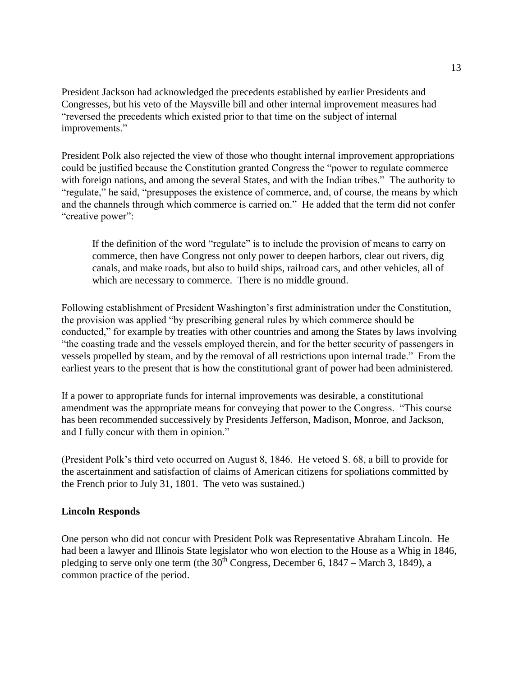President Jackson had acknowledged the precedents established by earlier Presidents and Congresses, but his veto of the Maysville bill and other internal improvement measures had "reversed the precedents which existed prior to that time on the subject of internal improvements."

President Polk also rejected the view of those who thought internal improvement appropriations could be justified because the Constitution granted Congress the "power to regulate commerce with foreign nations, and among the several States, and with the Indian tribes." The authority to "regulate," he said, "presupposes the existence of commerce, and, of course, the means by which and the channels through which commerce is carried on." He added that the term did not confer "creative power":

If the definition of the word "regulate" is to include the provision of means to carry on commerce, then have Congress not only power to deepen harbors, clear out rivers, dig canals, and make roads, but also to build ships, railroad cars, and other vehicles, all of which are necessary to commerce. There is no middle ground.

Following establishment of President Washington's first administration under the Constitution, the provision was applied "by prescribing general rules by which commerce should be conducted," for example by treaties with other countries and among the States by laws involving "the coasting trade and the vessels employed therein, and for the better security of passengers in vessels propelled by steam, and by the removal of all restrictions upon internal trade." From the earliest years to the present that is how the constitutional grant of power had been administered.

If a power to appropriate funds for internal improvements was desirable, a constitutional amendment was the appropriate means for conveying that power to the Congress. "This course has been recommended successively by Presidents Jefferson, Madison, Monroe, and Jackson, and I fully concur with them in opinion."

(President Polk's third veto occurred on August 8, 1846. He vetoed S. 68, a bill to provide for the ascertainment and satisfaction of claims of American citizens for spoliations committed by the French prior to July 31, 1801. The veto was sustained.)

# **Lincoln Responds**

One person who did not concur with President Polk was Representative Abraham Lincoln. He had been a lawyer and Illinois State legislator who won election to the House as a Whig in 1846, pledging to serve only one term (the  $30^{th}$  Congress, December 6, 1847 – March 3, 1849), a common practice of the period.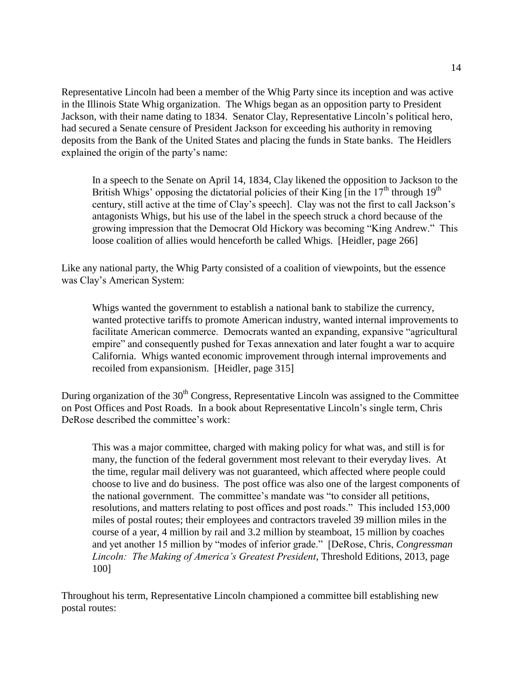Representative Lincoln had been a member of the Whig Party since its inception and was active in the Illinois State Whig organization. The Whigs began as an opposition party to President Jackson, with their name dating to 1834. Senator Clay, Representative Lincoln's political hero, had secured a Senate censure of President Jackson for exceeding his authority in removing deposits from the Bank of the United States and placing the funds in State banks. The Heidlers explained the origin of the party's name:

In a speech to the Senate on April 14, 1834, Clay likened the opposition to Jackson to the British Whigs' opposing the dictatorial policies of their King  $\sin$  the 17<sup>th</sup> through 19<sup>th</sup> century, still active at the time of Clay's speech]. Clay was not the first to call Jackson's antagonists Whigs, but his use of the label in the speech struck a chord because of the growing impression that the Democrat Old Hickory was becoming "King Andrew." This loose coalition of allies would henceforth be called Whigs. [Heidler, page 266]

Like any national party, the Whig Party consisted of a coalition of viewpoints, but the essence was Clay's American System:

Whigs wanted the government to establish a national bank to stabilize the currency, wanted protective tariffs to promote American industry, wanted internal improvements to facilitate American commerce. Democrats wanted an expanding, expansive "agricultural empire" and consequently pushed for Texas annexation and later fought a war to acquire California. Whigs wanted economic improvement through internal improvements and recoiled from expansionism. [Heidler, page 315]

During organization of the  $30<sup>th</sup>$  Congress, Representative Lincoln was assigned to the Committee on Post Offices and Post Roads. In a book about Representative Lincoln's single term, Chris DeRose described the committee's work:

This was a major committee, charged with making policy for what was, and still is for many, the function of the federal government most relevant to their everyday lives. At the time, regular mail delivery was not guaranteed, which affected where people could choose to live and do business. The post office was also one of the largest components of the national government. The committee's mandate was "to consider all petitions, resolutions, and matters relating to post offices and post roads." This included 153,000 miles of postal routes; their employees and contractors traveled 39 million miles in the course of a year, 4 million by rail and 3.2 million by steamboat, 15 million by coaches and yet another 15 million by "modes of inferior grade." [DeRose, Chris, *Congressman Lincoln: The Making of America's Greatest President*, Threshold Editions, 2013, page 100]

Throughout his term, Representative Lincoln championed a committee bill establishing new postal routes: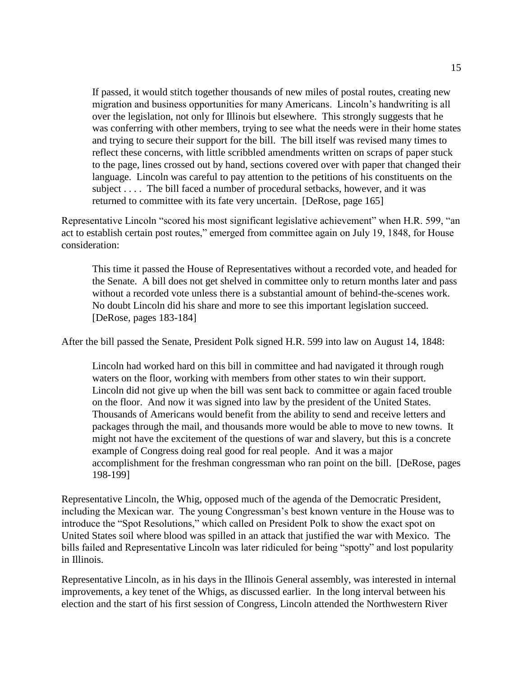If passed, it would stitch together thousands of new miles of postal routes, creating new migration and business opportunities for many Americans. Lincoln's handwriting is all over the legislation, not only for Illinois but elsewhere. This strongly suggests that he was conferring with other members, trying to see what the needs were in their home states and trying to secure their support for the bill. The bill itself was revised many times to reflect these concerns, with little scribbled amendments written on scraps of paper stuck to the page, lines crossed out by hand, sections covered over with paper that changed their language. Lincoln was careful to pay attention to the petitions of his constituents on the subject . . . . The bill faced a number of procedural setbacks, however, and it was returned to committee with its fate very uncertain. [DeRose, page 165]

Representative Lincoln "scored his most significant legislative achievement" when H.R. 599, "an act to establish certain post routes," emerged from committee again on July 19, 1848, for House consideration:

This time it passed the House of Representatives without a recorded vote, and headed for the Senate. A bill does not get shelved in committee only to return months later and pass without a recorded vote unless there is a substantial amount of behind-the-scenes work. No doubt Lincoln did his share and more to see this important legislation succeed. [DeRose, pages 183-184]

After the bill passed the Senate, President Polk signed H.R. 599 into law on August 14, 1848:

Lincoln had worked hard on this bill in committee and had navigated it through rough waters on the floor, working with members from other states to win their support. Lincoln did not give up when the bill was sent back to committee or again faced trouble on the floor. And now it was signed into law by the president of the United States. Thousands of Americans would benefit from the ability to send and receive letters and packages through the mail, and thousands more would be able to move to new towns. It might not have the excitement of the questions of war and slavery, but this is a concrete example of Congress doing real good for real people. And it was a major accomplishment for the freshman congressman who ran point on the bill. [DeRose, pages 198-199]

Representative Lincoln, the Whig, opposed much of the agenda of the Democratic President, including the Mexican war. The young Congressman's best known venture in the House was to introduce the "Spot Resolutions," which called on President Polk to show the exact spot on United States soil where blood was spilled in an attack that justified the war with Mexico. The bills failed and Representative Lincoln was later ridiculed for being "spotty" and lost popularity in Illinois.

Representative Lincoln, as in his days in the Illinois General assembly, was interested in internal improvements, a key tenet of the Whigs, as discussed earlier. In the long interval between his election and the start of his first session of Congress, Lincoln attended the Northwestern River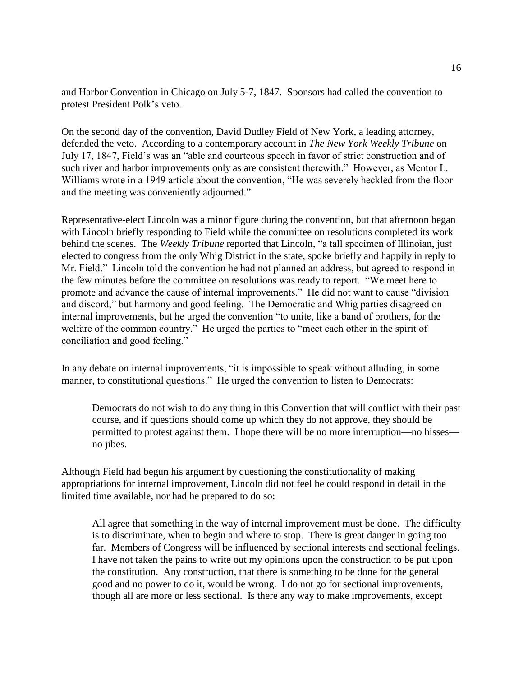and Harbor Convention in Chicago on July 5-7, 1847. Sponsors had called the convention to protest President Polk's veto.

On the second day of the convention, David Dudley Field of New York, a leading attorney, defended the veto. According to a contemporary account in *The New York Weekly Tribune* on July 17, 1847, Field's was an "able and courteous speech in favor of strict construction and of such river and harbor improvements only as are consistent therewith." However, as Mentor L. Williams wrote in a 1949 article about the convention, "He was severely heckled from the floor and the meeting was conveniently adjourned."

Representative-elect Lincoln was a minor figure during the convention, but that afternoon began with Lincoln briefly responding to Field while the committee on resolutions completed its work behind the scenes. The *Weekly Tribune* reported that Lincoln, "a tall specimen of Illinoian, just elected to congress from the only Whig District in the state, spoke briefly and happily in reply to Mr. Field." Lincoln told the convention he had not planned an address, but agreed to respond in the few minutes before the committee on resolutions was ready to report. "We meet here to promote and advance the cause of internal improvements." He did not want to cause "division and discord," but harmony and good feeling. The Democratic and Whig parties disagreed on internal improvements, but he urged the convention "to unite, like a band of brothers, for the welfare of the common country." He urged the parties to "meet each other in the spirit of conciliation and good feeling."

In any debate on internal improvements, "it is impossible to speak without alluding, in some manner, to constitutional questions." He urged the convention to listen to Democrats:

Democrats do not wish to do any thing in this Convention that will conflict with their past course, and if questions should come up which they do not approve, they should be permitted to protest against them. I hope there will be no more interruption—no hisses no jibes.

Although Field had begun his argument by questioning the constitutionality of making appropriations for internal improvement, Lincoln did not feel he could respond in detail in the limited time available, nor had he prepared to do so:

All agree that something in the way of internal improvement must be done. The difficulty is to discriminate, when to begin and where to stop. There is great danger in going too far. Members of Congress will be influenced by sectional interests and sectional feelings. I have not taken the pains to write out my opinions upon the construction to be put upon the constitution. Any construction, that there is something to be done for the general good and no power to do it, would be wrong. I do not go for sectional improvements, though all are more or less sectional. Is there any way to make improvements, except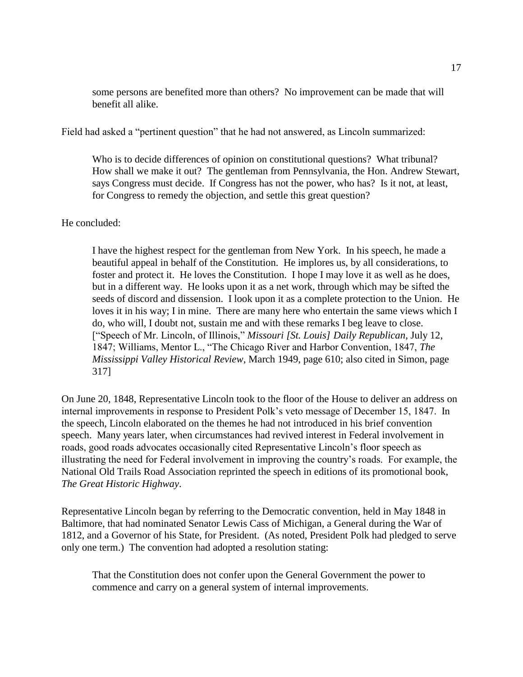some persons are benefited more than others? No improvement can be made that will benefit all alike.

Field had asked a "pertinent question" that he had not answered, as Lincoln summarized:

Who is to decide differences of opinion on constitutional questions? What tribunal? How shall we make it out? The gentleman from Pennsylvania, the Hon. Andrew Stewart, says Congress must decide. If Congress has not the power, who has? Is it not, at least, for Congress to remedy the objection, and settle this great question?

## He concluded:

I have the highest respect for the gentleman from New York. In his speech, he made a beautiful appeal in behalf of the Constitution. He implores us, by all considerations, to foster and protect it. He loves the Constitution. I hope I may love it as well as he does, but in a different way. He looks upon it as a net work, through which may be sifted the seeds of discord and dissension. I look upon it as a complete protection to the Union. He loves it in his way; I in mine. There are many here who entertain the same views which I do, who will, I doubt not, sustain me and with these remarks I beg leave to close. ["Speech of Mr. Lincoln, of Illinois," *Missouri [St. Louis] Daily Republican*, July 12, 1847; Williams, Mentor L., "The Chicago River and Harbor Convention, 1847, *The Mississippi Valley Historical Review*, March 1949, page 610; also cited in Simon, page 317]

On June 20, 1848, Representative Lincoln took to the floor of the House to deliver an address on internal improvements in response to President Polk's veto message of December 15, 1847. In the speech, Lincoln elaborated on the themes he had not introduced in his brief convention speech. Many years later, when circumstances had revived interest in Federal involvement in roads, good roads advocates occasionally cited Representative Lincoln's floor speech as illustrating the need for Federal involvement in improving the country's roads. For example, the National Old Trails Road Association reprinted the speech in editions of its promotional book, *The Great Historic Highway*.

Representative Lincoln began by referring to the Democratic convention, held in May 1848 in Baltimore, that had nominated Senator Lewis Cass of Michigan, a General during the War of 1812, and a Governor of his State, for President. (As noted, President Polk had pledged to serve only one term.) The convention had adopted a resolution stating:

That the Constitution does not confer upon the General Government the power to commence and carry on a general system of internal improvements.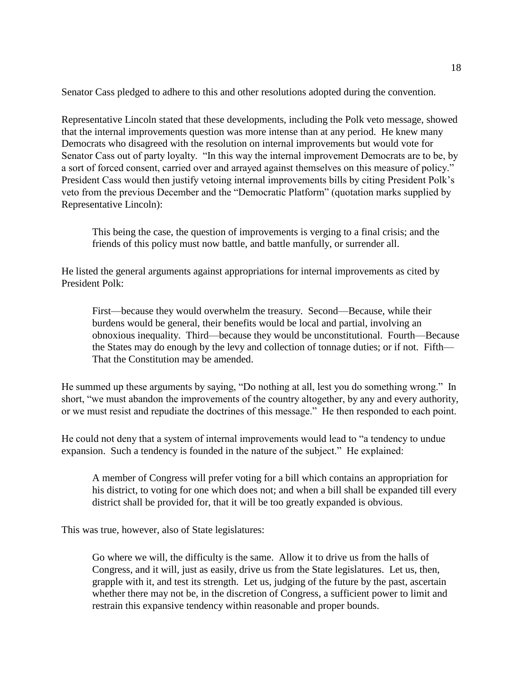Senator Cass pledged to adhere to this and other resolutions adopted during the convention.

Representative Lincoln stated that these developments, including the Polk veto message, showed that the internal improvements question was more intense than at any period. He knew many Democrats who disagreed with the resolution on internal improvements but would vote for Senator Cass out of party loyalty. "In this way the internal improvement Democrats are to be, by a sort of forced consent, carried over and arrayed against themselves on this measure of policy." President Cass would then justify vetoing internal improvements bills by citing President Polk's veto from the previous December and the "Democratic Platform" (quotation marks supplied by Representative Lincoln):

This being the case, the question of improvements is verging to a final crisis; and the friends of this policy must now battle, and battle manfully, or surrender all.

He listed the general arguments against appropriations for internal improvements as cited by President Polk:

First—because they would overwhelm the treasury. Second—Because, while their burdens would be general, their benefits would be local and partial, involving an obnoxious inequality. Third—because they would be unconstitutional. Fourth—Because the States may do enough by the levy and collection of tonnage duties; or if not. Fifth— That the Constitution may be amended.

He summed up these arguments by saying, "Do nothing at all, lest you do something wrong." In short, "we must abandon the improvements of the country altogether, by any and every authority, or we must resist and repudiate the doctrines of this message." He then responded to each point.

He could not deny that a system of internal improvements would lead to "a tendency to undue expansion. Such a tendency is founded in the nature of the subject." He explained:

A member of Congress will prefer voting for a bill which contains an appropriation for his district, to voting for one which does not; and when a bill shall be expanded till every district shall be provided for, that it will be too greatly expanded is obvious.

This was true, however, also of State legislatures:

Go where we will, the difficulty is the same. Allow it to drive us from the halls of Congress, and it will, just as easily, drive us from the State legislatures. Let us, then, grapple with it, and test its strength. Let us, judging of the future by the past, ascertain whether there may not be, in the discretion of Congress, a sufficient power to limit and restrain this expansive tendency within reasonable and proper bounds.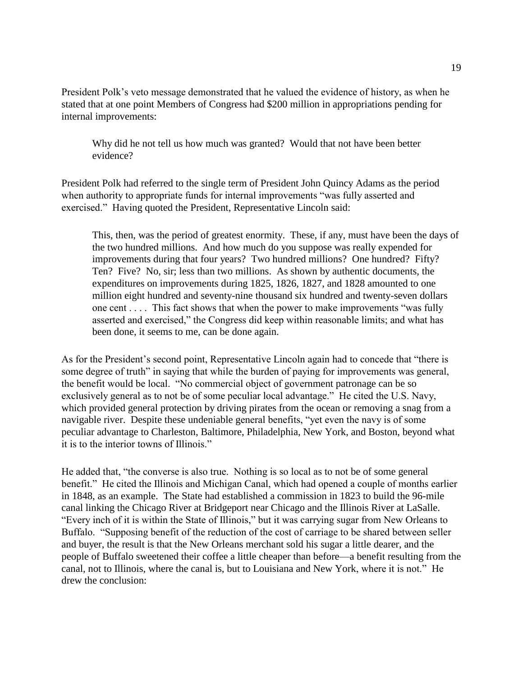President Polk's veto message demonstrated that he valued the evidence of history, as when he stated that at one point Members of Congress had \$200 million in appropriations pending for internal improvements:

Why did he not tell us how much was granted? Would that not have been better evidence?

President Polk had referred to the single term of President John Quincy Adams as the period when authority to appropriate funds for internal improvements "was fully asserted and exercised." Having quoted the President, Representative Lincoln said:

This, then, was the period of greatest enormity. These, if any, must have been the days of the two hundred millions. And how much do you suppose was really expended for improvements during that four years? Two hundred millions? One hundred? Fifty? Ten? Five? No, sir; less than two millions. As shown by authentic documents, the expenditures on improvements during 1825, 1826, 1827, and 1828 amounted to one million eight hundred and seventy-nine thousand six hundred and twenty-seven dollars one cent . . . . This fact shows that when the power to make improvements "was fully asserted and exercised," the Congress did keep within reasonable limits; and what has been done, it seems to me, can be done again.

As for the President's second point, Representative Lincoln again had to concede that "there is some degree of truth" in saying that while the burden of paying for improvements was general, the benefit would be local. "No commercial object of government patronage can be so exclusively general as to not be of some peculiar local advantage." He cited the U.S. Navy, which provided general protection by driving pirates from the ocean or removing a snag from a navigable river. Despite these undeniable general benefits, "yet even the navy is of some peculiar advantage to Charleston, Baltimore, Philadelphia, New York, and Boston, beyond what it is to the interior towns of Illinois."

He added that, "the converse is also true. Nothing is so local as to not be of some general benefit." He cited the Illinois and Michigan Canal, which had opened a couple of months earlier in 1848, as an example. The State had established a commission in 1823 to build the 96-mile canal linking the Chicago River at Bridgeport near Chicago and the Illinois River at LaSalle. "Every inch of it is within the State of Illinois," but it was carrying sugar from New Orleans to Buffalo. "Supposing benefit of the reduction of the cost of carriage to be shared between seller and buyer, the result is that the New Orleans merchant sold his sugar a little dearer, and the people of Buffalo sweetened their coffee a little cheaper than before—a benefit resulting from the canal, not to Illinois, where the canal is, but to Louisiana and New York, where it is not." He drew the conclusion: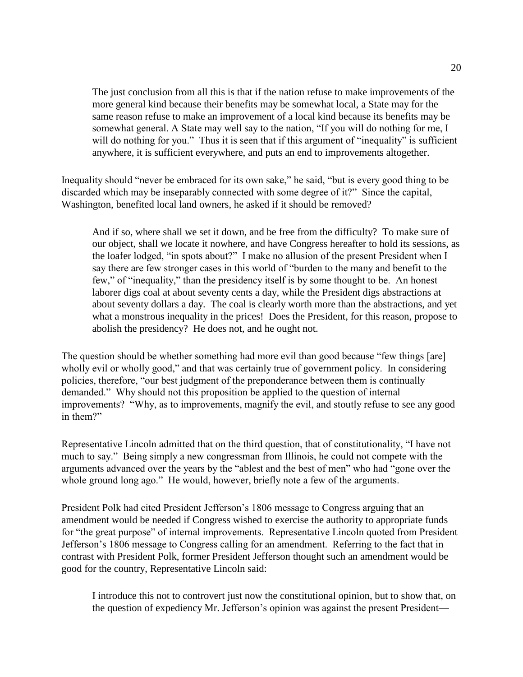The just conclusion from all this is that if the nation refuse to make improvements of the more general kind because their benefits may be somewhat local, a State may for the same reason refuse to make an improvement of a local kind because its benefits may be somewhat general. A State may well say to the nation, "If you will do nothing for me, I will do nothing for you." Thus it is seen that if this argument of "inequality" is sufficient anywhere, it is sufficient everywhere, and puts an end to improvements altogether.

Inequality should "never be embraced for its own sake," he said, "but is every good thing to be discarded which may be inseparably connected with some degree of it?" Since the capital, Washington, benefited local land owners, he asked if it should be removed?

And if so, where shall we set it down, and be free from the difficulty? To make sure of our object, shall we locate it nowhere, and have Congress hereafter to hold its sessions, as the loafer lodged, "in spots about?" I make no allusion of the present President when I say there are few stronger cases in this world of "burden to the many and benefit to the few," of "inequality," than the presidency itself is by some thought to be. An honest laborer digs coal at about seventy cents a day, while the President digs abstractions at about seventy dollars a day. The coal is clearly worth more than the abstractions, and yet what a monstrous inequality in the prices! Does the President, for this reason, propose to abolish the presidency? He does not, and he ought not.

The question should be whether something had more evil than good because "few things [are] wholly evil or wholly good," and that was certainly true of government policy. In considering policies, therefore, "our best judgment of the preponderance between them is continually demanded." Why should not this proposition be applied to the question of internal improvements? "Why, as to improvements, magnify the evil, and stoutly refuse to see any good in them?"

Representative Lincoln admitted that on the third question, that of constitutionality, "I have not much to say." Being simply a new congressman from Illinois, he could not compete with the arguments advanced over the years by the "ablest and the best of men" who had "gone over the whole ground long ago." He would, however, briefly note a few of the arguments.

President Polk had cited President Jefferson's 1806 message to Congress arguing that an amendment would be needed if Congress wished to exercise the authority to appropriate funds for "the great purpose" of internal improvements. Representative Lincoln quoted from President Jefferson's 1806 message to Congress calling for an amendment. Referring to the fact that in contrast with President Polk, former President Jefferson thought such an amendment would be good for the country, Representative Lincoln said:

I introduce this not to controvert just now the constitutional opinion, but to show that, on the question of expediency Mr. Jefferson's opinion was against the present President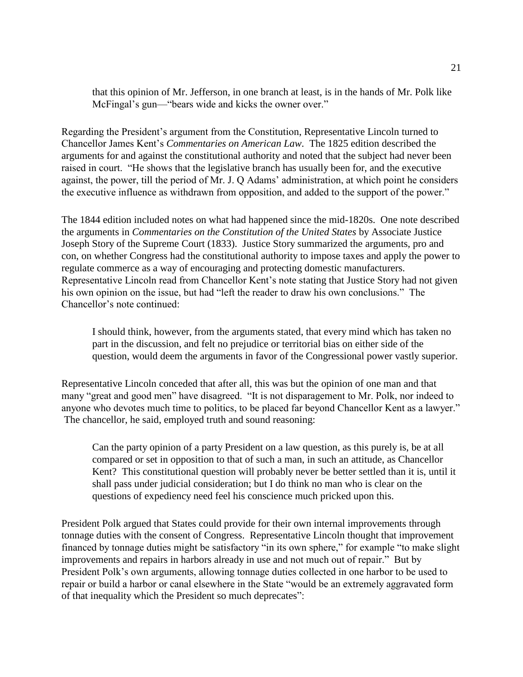that this opinion of Mr. Jefferson, in one branch at least, is in the hands of Mr. Polk like McFingal's gun—"bears wide and kicks the owner over."

Regarding the President's argument from the Constitution, Representative Lincoln turned to Chancellor James Kent's *Commentaries on American Law*. The 1825 edition described the arguments for and against the constitutional authority and noted that the subject had never been raised in court. "He shows that the legislative branch has usually been for, and the executive against, the power, till the period of Mr. J. Q Adams' administration, at which point he considers the executive influence as withdrawn from opposition, and added to the support of the power."

The 1844 edition included notes on what had happened since the mid-1820s. One note described the arguments in *Commentaries on the Constitution of the United States* by Associate Justice Joseph Story of the Supreme Court (1833). Justice Story summarized the arguments, pro and con, on whether Congress had the constitutional authority to impose taxes and apply the power to regulate commerce as a way of encouraging and protecting domestic manufacturers. Representative Lincoln read from Chancellor Kent's note stating that Justice Story had not given his own opinion on the issue, but had "left the reader to draw his own conclusions." The Chancellor's note continued:

I should think, however, from the arguments stated, that every mind which has taken no part in the discussion, and felt no prejudice or territorial bias on either side of the question, would deem the arguments in favor of the Congressional power vastly superior.

Representative Lincoln conceded that after all, this was but the opinion of one man and that many "great and good men" have disagreed. "It is not disparagement to Mr. Polk, nor indeed to anyone who devotes much time to politics, to be placed far beyond Chancellor Kent as a lawyer." The chancellor, he said, employed truth and sound reasoning:

Can the party opinion of a party President on a law question, as this purely is, be at all compared or set in opposition to that of such a man, in such an attitude, as Chancellor Kent? This constitutional question will probably never be better settled than it is, until it shall pass under judicial consideration; but I do think no man who is clear on the questions of expediency need feel his conscience much pricked upon this.

President Polk argued that States could provide for their own internal improvements through tonnage duties with the consent of Congress. Representative Lincoln thought that improvement financed by tonnage duties might be satisfactory "in its own sphere," for example "to make slight improvements and repairs in harbors already in use and not much out of repair." But by President Polk's own arguments, allowing tonnage duties collected in one harbor to be used to repair or build a harbor or canal elsewhere in the State "would be an extremely aggravated form of that inequality which the President so much deprecates":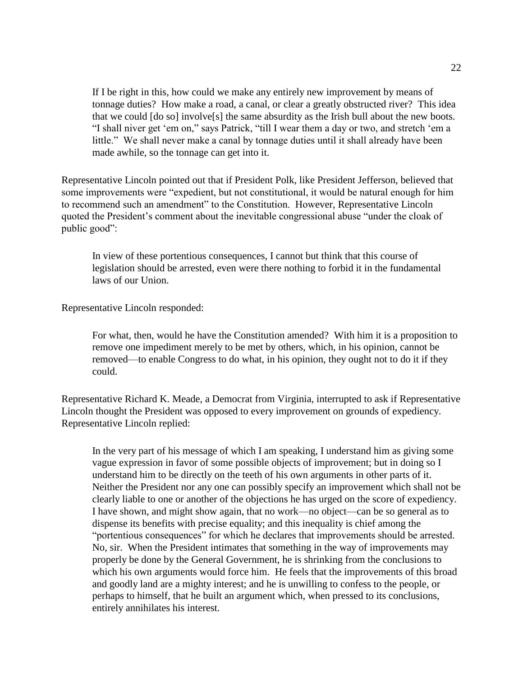If I be right in this, how could we make any entirely new improvement by means of tonnage duties? How make a road, a canal, or clear a greatly obstructed river? This idea that we could [do so] involve[s] the same absurdity as the Irish bull about the new boots. "I shall niver get 'em on," says Patrick, "till I wear them a day or two, and stretch 'em a little." We shall never make a canal by tonnage duties until it shall already have been made awhile, so the tonnage can get into it.

Representative Lincoln pointed out that if President Polk, like President Jefferson, believed that some improvements were "expedient, but not constitutional, it would be natural enough for him to recommend such an amendment" to the Constitution. However, Representative Lincoln quoted the President's comment about the inevitable congressional abuse "under the cloak of public good":

In view of these portentious consequences, I cannot but think that this course of legislation should be arrested, even were there nothing to forbid it in the fundamental laws of our Union.

Representative Lincoln responded:

For what, then, would he have the Constitution amended? With him it is a proposition to remove one impediment merely to be met by others, which, in his opinion, cannot be removed—to enable Congress to do what, in his opinion, they ought not to do it if they could.

Representative Richard K. Meade, a Democrat from Virginia, interrupted to ask if Representative Lincoln thought the President was opposed to every improvement on grounds of expediency. Representative Lincoln replied:

In the very part of his message of which I am speaking, I understand him as giving some vague expression in favor of some possible objects of improvement; but in doing so I understand him to be directly on the teeth of his own arguments in other parts of it. Neither the President nor any one can possibly specify an improvement which shall not be clearly liable to one or another of the objections he has urged on the score of expediency. I have shown, and might show again, that no work—no object—can be so general as to dispense its benefits with precise equality; and this inequality is chief among the "portentious consequences" for which he declares that improvements should be arrested. No, sir. When the President intimates that something in the way of improvements may properly be done by the General Government, he is shrinking from the conclusions to which his own arguments would force him. He feels that the improvements of this broad and goodly land are a mighty interest; and he is unwilling to confess to the people, or perhaps to himself, that he built an argument which, when pressed to its conclusions, entirely annihilates his interest.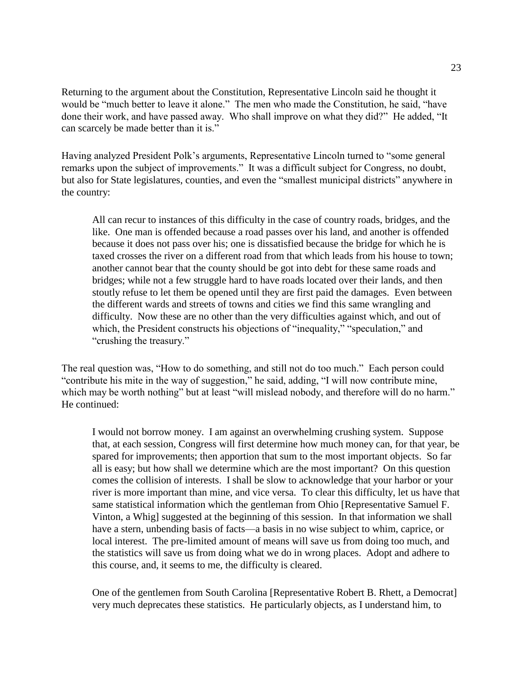Returning to the argument about the Constitution, Representative Lincoln said he thought it would be "much better to leave it alone." The men who made the Constitution, he said, "have done their work, and have passed away. Who shall improve on what they did?" He added, "It can scarcely be made better than it is."

Having analyzed President Polk's arguments, Representative Lincoln turned to "some general remarks upon the subject of improvements." It was a difficult subject for Congress, no doubt, but also for State legislatures, counties, and even the "smallest municipal districts" anywhere in the country:

All can recur to instances of this difficulty in the case of country roads, bridges, and the like. One man is offended because a road passes over his land, and another is offended because it does not pass over his; one is dissatisfied because the bridge for which he is taxed crosses the river on a different road from that which leads from his house to town; another cannot bear that the county should be got into debt for these same roads and bridges; while not a few struggle hard to have roads located over their lands, and then stoutly refuse to let them be opened until they are first paid the damages. Even between the different wards and streets of towns and cities we find this same wrangling and difficulty. Now these are no other than the very difficulties against which, and out of which, the President constructs his objections of "inequality," "speculation," and "crushing the treasury."

The real question was, "How to do something, and still not do too much." Each person could "contribute his mite in the way of suggestion," he said, adding, "I will now contribute mine, which may be worth nothing" but at least "will mislead nobody, and therefore will do no harm." He continued:

I would not borrow money. I am against an overwhelming crushing system. Suppose that, at each session, Congress will first determine how much money can, for that year, be spared for improvements; then apportion that sum to the most important objects. So far all is easy; but how shall we determine which are the most important? On this question comes the collision of interests. I shall be slow to acknowledge that your harbor or your river is more important than mine, and vice versa. To clear this difficulty, let us have that same statistical information which the gentleman from Ohio [Representative Samuel F. Vinton, a Whig] suggested at the beginning of this session. In that information we shall have a stern, unbending basis of facts—a basis in no wise subject to whim, caprice, or local interest. The pre-limited amount of means will save us from doing too much, and the statistics will save us from doing what we do in wrong places. Adopt and adhere to this course, and, it seems to me, the difficulty is cleared.

One of the gentlemen from South Carolina [Representative Robert B. Rhett, a Democrat] very much deprecates these statistics. He particularly objects, as I understand him, to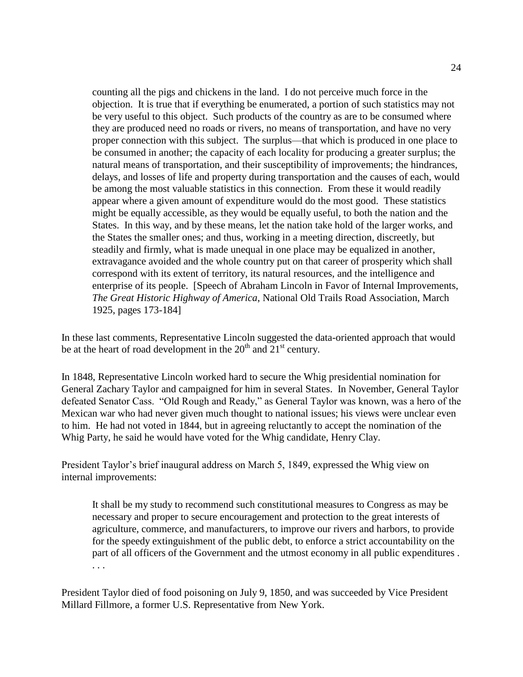counting all the pigs and chickens in the land. I do not perceive much force in the objection. It is true that if everything be enumerated, a portion of such statistics may not be very useful to this object. Such products of the country as are to be consumed where they are produced need no roads or rivers, no means of transportation, and have no very proper connection with this subject. The surplus—that which is produced in one place to be consumed in another; the capacity of each locality for producing a greater surplus; the natural means of transportation, and their susceptibility of improvements; the hindrances, delays, and losses of life and property during transportation and the causes of each, would be among the most valuable statistics in this connection. From these it would readily appear where a given amount of expenditure would do the most good. These statistics might be equally accessible, as they would be equally useful, to both the nation and the States. In this way, and by these means, let the nation take hold of the larger works, and the States the smaller ones; and thus, working in a meeting direction, discreetly, but steadily and firmly, what is made unequal in one place may be equalized in another, extravagance avoided and the whole country put on that career of prosperity which shall correspond with its extent of territory, its natural resources, and the intelligence and enterprise of its people. [Speech of Abraham Lincoln in Favor of Internal Improvements, *The Great Historic Highway of America*, National Old Trails Road Association, March 1925, pages 173-184]

In these last comments, Representative Lincoln suggested the data-oriented approach that would be at the heart of road development in the  $20<sup>th</sup>$  and  $21<sup>st</sup>$  century.

In 1848, Representative Lincoln worked hard to secure the Whig presidential nomination for General Zachary Taylor and campaigned for him in several States. In November, General Taylor defeated Senator Cass. "Old Rough and Ready," as General Taylor was known, was a hero of the Mexican war who had never given much thought to national issues; his views were unclear even to him. He had not voted in 1844, but in agreeing reluctantly to accept the nomination of the Whig Party, he said he would have voted for the Whig candidate, Henry Clay.

President Taylor's brief inaugural address on March 5, 1849, expressed the Whig view on internal improvements:

It shall be my study to recommend such constitutional measures to Congress as may be necessary and proper to secure encouragement and protection to the great interests of agriculture, commerce, and manufacturers, to improve our rivers and harbors, to provide for the speedy extinguishment of the public debt, to enforce a strict accountability on the part of all officers of the Government and the utmost economy in all public expenditures . . . .

President Taylor died of food poisoning on July 9, 1850, and was succeeded by Vice President Millard Fillmore, a former U.S. Representative from New York.